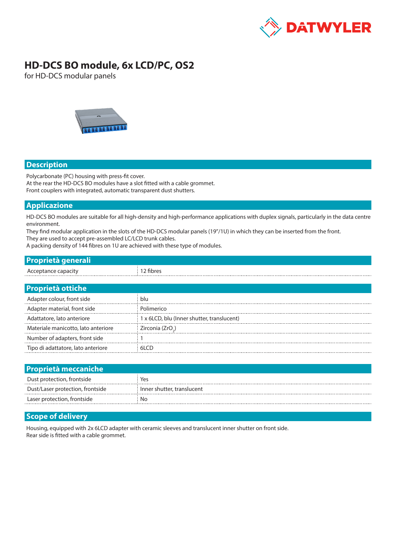

# **HD-DCS BO module, 6x LCD/PC, OS2**

for HD-DCS modular panels



#### **Description**

Polycarbonate (PC) housing with press-fit cover. At the rear the HD-DCS BO modules have a slot fitted with a cable grommet. Front couplers with integrated, automatic transparent dust shutters.

### **Applicazione**

HD-DCS BO modules are suitable for all high-density and high-performance applications with duplex signals, particularly in the data centre environment.

They find modular application in the slots of the HD-DCS modular panels (19"/1U) in which they can be inserted from the front.

They are used to accept pre-assembled LC/LCD trunk cables.

A packing density of 144 fibres on 1U are achieved with these type of modules.

| .<br><b><i>PITTS LOT</i></b><br>والمستقار والمتقارب والمراجات |  |
|---------------------------------------------------------------|--|
| ACC                                                           |  |

| <b>Proprietà ottiche</b>            |                                            |
|-------------------------------------|--------------------------------------------|
| Adapter colour, front side          | blu                                        |
| Adapter material, front side        | Polimerico                                 |
| Adattatore, lato anteriore          | 1 x 6LCD, blu (Inner shutter, translucent) |
| Materiale manicotto, lato anteriore | Zirconia (ZrO <sub>2</sub> )               |
| Number of adapters, front side      |                                            |
| Tipo di adattatore, lato anteriore  | 61 CD                                      |

| <b>Proprietà meccaniche</b>      |                              |
|----------------------------------|------------------------------|
| Dust protection, frontside       | Yes                          |
| Dust/Laser protection, frontside | : Inner shutter, translucent |
| Laser protection, frontside      | Nο                           |

#### **Scope of delivery**

Housing, equipped with 2x 6LCD adapter with ceramic sleeves and translucent inner shutter on front side. Rear side is fitted with a cable grommet.